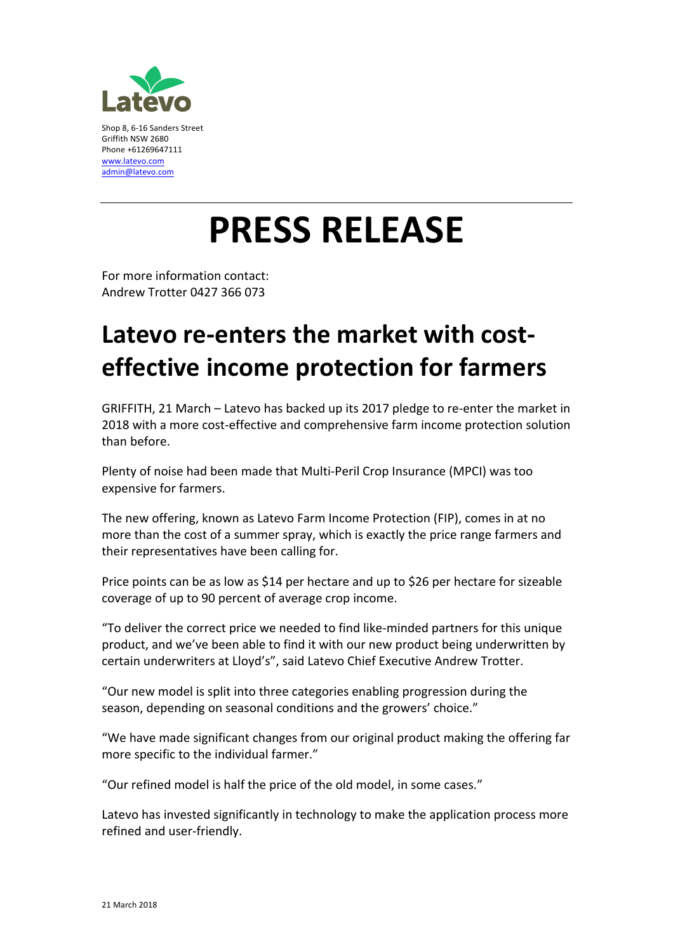

## **PRESS RELEASE**

For more information contact: Andrew Trotter 0427 366 073

## Latevo re-enters the market with cost**effective income protection for farmers**

GRIFFITH, 21 March – Latevo has backed up its 2017 pledge to re-enter the market in 2018 with a more cost-effective and comprehensive farm income protection solution than before.

Plenty of noise had been made that Multi-Peril Crop Insurance (MPCI) was too expensive for farmers.

The new offering, known as Latevo Farm Income Protection (FIP), comes in at no more than the cost of a summer spray, which is exactly the price range farmers and their representatives have been calling for.

Price points can be as low as \$14 per hectare and up to \$26 per hectare for sizeable coverage of up to 90 percent of average crop income.

"To deliver the correct price we needed to find like-minded partners for this unique product, and we've been able to find it with our new product being underwritten by certain underwriters at Lloyd's", said Latevo Chief Executive Andrew Trotter.

"Our new model is split into three categories enabling progression during the season, depending on seasonal conditions and the growers' choice."

"We have made significant changes from our original product making the offering far more specific to the individual farmer."

"Our refined model is half the price of the old model, in some cases."

Latevo has invested significantly in technology to make the application process more refined and user-friendly.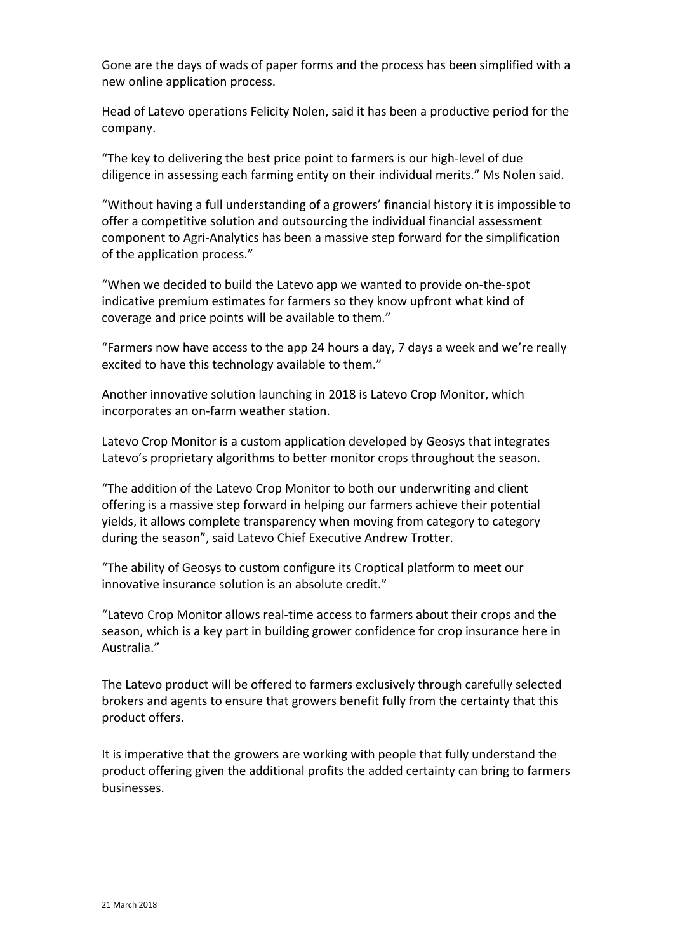Gone are the days of wads of paper forms and the process has been simplified with a new online application process.

Head of Latevo operations Felicity Nolen, said it has been a productive period for the company.

"The key to delivering the best price point to farmers is our high-level of due diligence in assessing each farming entity on their individual merits." Ms Nolen said.

"Without having a full understanding of a growers' financial history it is impossible to offer a competitive solution and outsourcing the individual financial assessment component to Agri-Analytics has been a massive step forward for the simplification of the application process."

"When we decided to build the Latevo app we wanted to provide on-the-spot indicative premium estimates for farmers so they know upfront what kind of coverage and price points will be available to them."

"Farmers now have access to the app 24 hours a day, 7 days a week and we're really excited to have this technology available to them."

Another innovative solution launching in 2018 is Latevo Crop Monitor, which incorporates an on-farm weather station.

Latevo Crop Monitor is a custom application developed by Geosys that integrates Latevo's proprietary algorithms to better monitor crops throughout the season.

"The addition of the Latevo Crop Monitor to both our underwriting and client offering is a massive step forward in helping our farmers achieve their potential yields, it allows complete transparency when moving from category to category during the season", said Latevo Chief Executive Andrew Trotter.

"The ability of Geosys to custom configure its Croptical platform to meet our innovative insurance solution is an absolute credit."

"Latevo Crop Monitor allows real-time access to farmers about their crops and the season, which is a key part in building grower confidence for crop insurance here in Australia."

The Latevo product will be offered to farmers exclusively through carefully selected brokers and agents to ensure that growers benefit fully from the certainty that this product offers.

It is imperative that the growers are working with people that fully understand the product offering given the additional profits the added certainty can bring to farmers businesses.